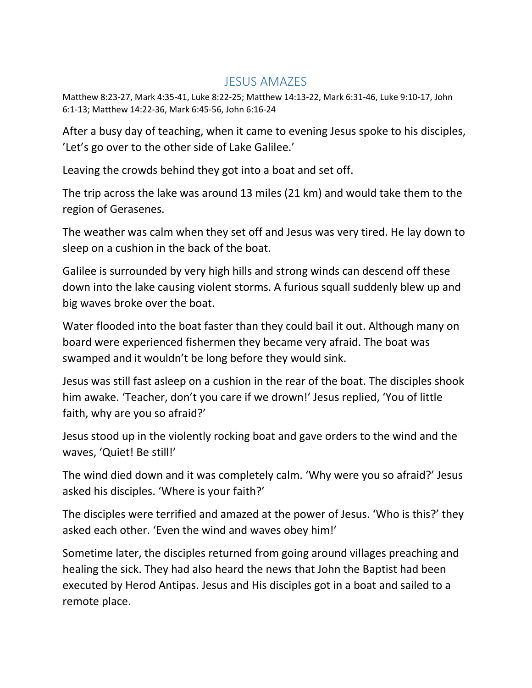## JESUS AMAZES

Matthew 8:23-27, Mark 4:35-41, Luke 8:22-25; Matthew 14:13-22, Mark 6:31-46, Luke 9:10-17, John 6:1-13; Matthew 14:22-36, Mark 6:45-56, John 6:16-24

After a busy day of teaching, when it came to evening Jesus spoke to his disciples, 'Let's go over to the other side of Lake Galilee.'

Leaving the crowds behind they got into a boat and set off.

The trip across the lake was around 13 miles (21 km) and would take them to the region of Gerasenes.

The weather was calm when they set off and Jesus was very tired. He lay down to sleep on a cushion in the back of the boat.

Galilee is surrounded by very high hills and strong winds can descend off these down into the lake causing violent storms. A furious squall suddenly blew up and big waves broke over the boat.

Water flooded into the boat faster than they could bail it out. Although many on board were experienced fishermen they became very afraid. The boat was swamped and it wouldn't be long before they would sink.

Jesus was still fast asleep on a cushion in the rear of the boat. The disciples shook him awake. 'Teacher, don't you care if we drown!' Jesus replied, 'You of little faith, why are you so afraid?'

Jesus stood up in the violently rocking boat and gave orders to the wind and the waves, 'Quiet! Be still!'

The wind died down and it was completely calm. 'Why were you so afraid?' Jesus asked his disciples. 'Where is your faith?'

The disciples were terrified and amazed at the power of Jesus. 'Who is this?' they asked each other. 'Even the wind and waves obey him!'

Sometime later, the disciples returned from going around villages preaching and healing the sick. They had also heard the news that John the Baptist had been executed by Herod Antipas. Jesus and His disciples got in a boat and sailed to a remote place.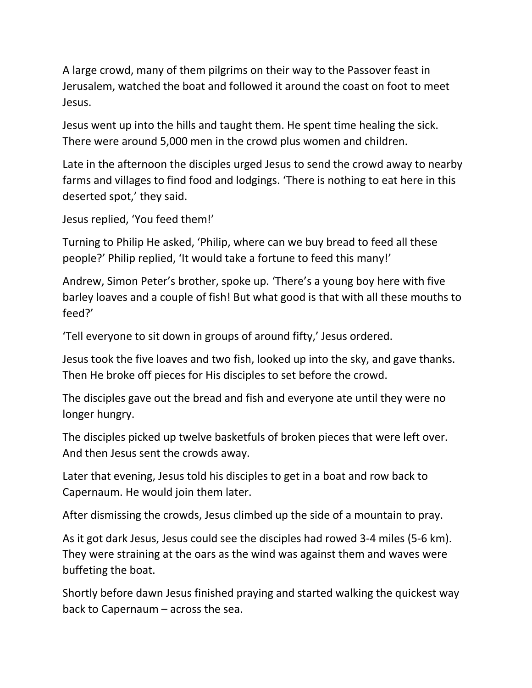A large crowd, many of them pilgrims on their way to the Passover feast in Jerusalem, watched the boat and followed it around the coast on foot to meet Jesus.

Jesus went up into the hills and taught them. He spent time healing the sick. There were around 5,000 men in the crowd plus women and children.

Late in the afternoon the disciples urged Jesus to send the crowd away to nearby farms and villages to find food and lodgings. 'There is nothing to eat here in this deserted spot,' they said.

```
Jesus replied, 'You feed them!'
```
Turning to Philip He asked, 'Philip, where can we buy bread to feed all these people?' Philip replied, 'It would take a fortune to feed this many!'

Andrew, Simon Peter's brother, spoke up. 'There's a young boy here with five barley loaves and a couple of fish! But what good is that with all these mouths to feed?'

'Tell everyone to sit down in groups of around fifty,' Jesus ordered.

Jesus took the five loaves and two fish, looked up into the sky, and gave thanks. Then He broke off pieces for His disciples to set before the crowd.

The disciples gave out the bread and fish and everyone ate until they were no longer hungry.

The disciples picked up twelve basketfuls of broken pieces that were left over. And then Jesus sent the crowds away.

Later that evening, Jesus told his disciples to get in a boat and row back to Capernaum. He would join them later.

After dismissing the crowds, Jesus climbed up the side of a mountain to pray.

As it got dark Jesus, Jesus could see the disciples had rowed 3-4 miles (5-6 km). They were straining at the oars as the wind was against them and waves were buffeting the boat.

Shortly before dawn Jesus finished praying and started walking the quickest way back to Capernaum – across the sea.